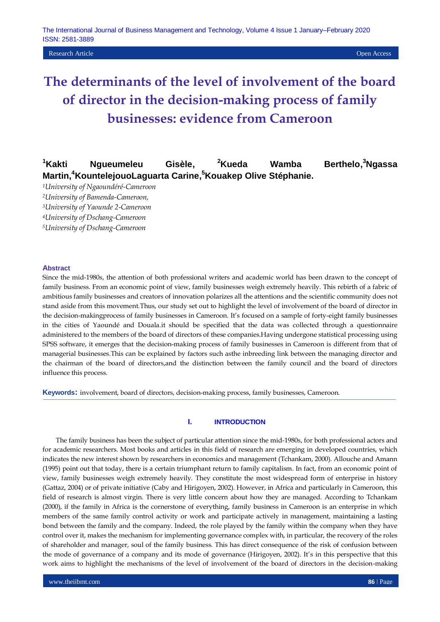**Research Article Open Access Open Access Open Access Open Access Open Access Open Access Open Access Open Access** 

# **The determinants of the level of involvement of the board of director in the decision-making process of family businesses: evidence from Cameroon**

#### **<sup>1</sup>Kakti Ngueumeleu Gisèle, <sup>2</sup>Kueda Wamba Berthelo, <sup>3</sup>Ngassa Martin,<sup>4</sup>KountelejouoLaguarta Carine, <sup>5</sup>Kouakep Olive Stéphanie.**

*<sup>1</sup>University of Ngaoundéré-Cameroon*

*<sup>2</sup>University of Bamenda-Cameroon,* 

*<sup>3</sup>University of Yaounde 2-Cameroon*

*<sup>4</sup>University of Dschang-Cameroon*

*<sup>5</sup>University of Dschang-Cameroon*

### **Abstract**

Since the mid-1980s, the attention of both professional writers and academic world has been drawn to the concept of family business. From an economic point of view, family businesses weigh extremely heavily. This rebirth of a fabric of ambitious family businesses and creators of innovation polarizes all the attentions and the scientific community does not stand aside from this movement.Thus, our study set out to highlight the level of involvement of the board of director in the decision-makingprocess of family businesses in Cameroon. It's focused on a sample of forty-eight family businesses in the cities of Yaoundé and Douala.it should be specified that the data was collected through a questionnaire administered to the members of the board of directors of these companies.Having undergone statistical processing using SPSS software, it emerges that the decision-making process of family businesses in Cameroon is different from that of managerial businesses.This can be explained by factors such asthe inbreeding link between the managing director and the chairman of the board of directors,and the distinction between the family council and the board of directors influence this process.

**Keywords:** involvement, board of directors, decision-making process, family businesses, Cameroon.

## **I. INTRODUCTION**

The family business has been the subject of particular attention since the mid-1980s, for both professional actors and for academic researchers. Most books and articles in this field of research are emerging in developed countries, which indicates the new interest shown by researchers in economics and management (Tchankam, 2000). Allouche and Amann (1995) point out that today, there is a certain triumphant return to family capitalism. In fact, from an economic point of view, family businesses weigh extremely heavily. They constitute the most widespread form of enterprise in history (Gattaz, 2004) or of private initiative (Caby and Hirigoyen, 2002). However, in Africa and particularly in Cameroon, this field of research is almost virgin. There is very little concern about how they are managed. According to Tchankam (2000), if the family in Africa is the cornerstone of everything, family business in Cameroon is an enterprise in which members of the same family control activity or work and participate actively in management, maintaining a lasting bond between the family and the company. Indeed, the role played by the family within the company when they have control over it, makes the mechanism for implementing governance complex with, in particular, the recovery of the roles of shareholder and manager, soul of the family business. This has direct consequence of the risk of confusion between the mode of governance of a company and its mode of governance (Hirigoyen, 2002). It's in this perspective that this work aims to highlight the mechanisms of the level of involvement of the board of directors in the decision-making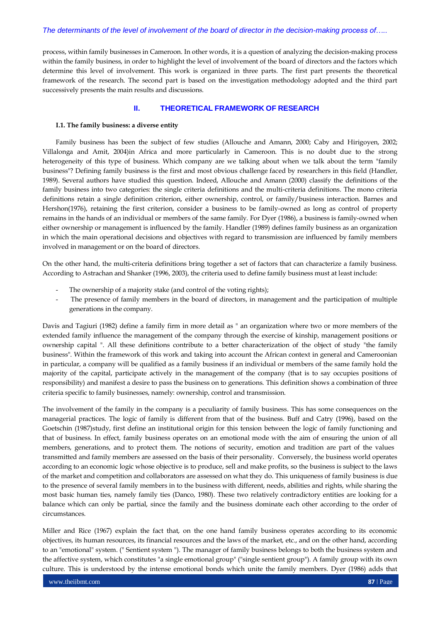process, within family businesses in Cameroon. In other words, it is a question of analyzing the decision-making process within the family business, in order to highlight the level of involvement of the board of directors and the factors which determine this level of involvement. This work is organized in three parts. The first part presents the theoretical framework of the research. The second part is based on the investigation methodology adopted and the third part successively presents the main results and discussions.

## **II. THEORETICAL FRAMEWORK OF RESEARCH**

## **I.1. The family business: a diverse entity**

Family business has been the subject of few studies (Allouche and Amann, 2000; Caby and Hirigoyen, 2002; Villalonga and Amit, 2004)in Africa and more particularly in Cameroon. This is no doubt due to the strong heterogeneity of this type of business. Which company are we talking about when we talk about the term "family business"? Defining family business is the first and most obvious challenge faced by researchers in this field (Handler, 1989). Several authors have studied this question. Indeed, Allouche and Amann (2000) classify the definitions of the family business into two categories: the single criteria definitions and the multi-criteria definitions. The mono criteria definitions retain a single definition criterion, either ownership, control, or family/business interaction. Barnes and Hershon(1976), retaining the first criterion, consider a business to be family-owned as long as control of property remains in the hands of an individual or members of the same family. For Dyer (1986), a business is family-owned when either ownership or management is influenced by the family. Handler (1989) defines family business as an organization in which the main operational decisions and objectives with regard to transmission are influenced by family members involved in management or on the board of directors.

On the other hand, the multi-criteria definitions bring together a set of factors that can characterize a family business. According to Astrachan and Shanker (1996, 2003), the criteria used to define family business must at least include:

- The ownership of a majority stake (and control of the voting rights);
- The presence of family members in the board of directors, in management and the participation of multiple generations in the company.

Davis and Tagiuri (1982) define a family firm in more detail as " an organization where two or more members of the extended family influence the management of the company through the exercise of kinship, management positions or ownership capital ". All these definitions contribute to a better characterization of the object of study "the family business". Within the framework of this work and taking into account the African context in general and Cameroonian in particular, a company will be qualified as a family business if an individual or members of the same family hold the majority of the capital, participate actively in the management of the company (that is to say occupies positions of responsibility) and manifest a desire to pass the business on to generations. This definition shows a combination of three criteria specific to family businesses, namely: ownership, control and transmission.

The involvement of the family in the company is a peculiarity of family business. This has some consequences on the managerial practices. The logic of family is different from that of the business. Buff and Catry (1996), based on the Goetschin (1987)study, first define an institutional origin for this tension between the logic of family functioning and that of business. In effect, family business operates on an emotional mode with the aim of ensuring the union of all members, generations, and to protect them. The notions of security, emotion and tradition are part of the values transmitted and family members are assessed on the basis of their personality. Conversely, the business world operates according to an economic logic whose objective is to produce, sell and make profits, so the business is subject to the laws of the market and competition and collaborators are assessed on what they do. This uniqueness of family business is due to the presence of several family members in to the business with different, needs, abilities and rights, while sharing the most basic human ties, namely family ties (Danco, 1980). These two relatively contradictory entities are looking for a balance which can only be partial, since the family and the business dominate each other according to the order of circumstances.

Miller and Rice (1967) explain the fact that, on the one hand family business operates according to its economic objectives, its human resources, its financial resources and the laws of the market, etc., and on the other hand, according to an "emotional" system. (" Sentient system "). The manager of family business belongs to both the business system and the affective system, which constitutes "a single emotional group" ("single sentient group"). A family group with its own culture. This is understood by the intense emotional bonds which unite the family members. Dyer (1986) adds that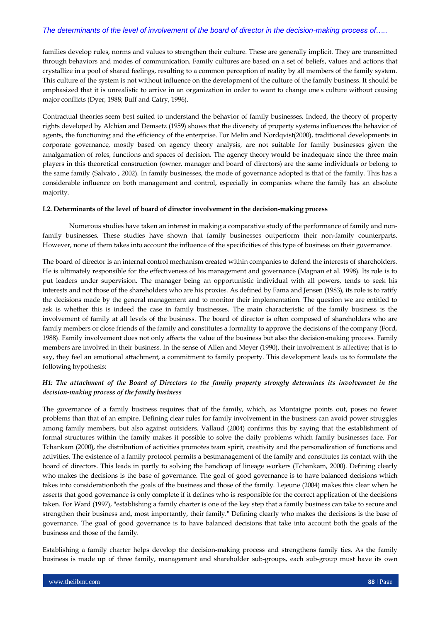families develop rules, norms and values to strengthen their culture. These are generally implicit. They are transmitted through behaviors and modes of communication. Family cultures are based on a set of beliefs, values and actions that crystallize in a pool of shared feelings, resulting to a common perception of reality by all members of the family system. This culture of the system is not without influence on the development of the culture of the family business. It should be emphasized that it is unrealistic to arrive in an organization in order to want to change one's culture without causing major conflicts (Dyer, 1988; Buff and Catry, 1996).

Contractual theories seem best suited to understand the behavior of family businesses. Indeed, the theory of property rights developed by Alchian and Demsetz (1959) shows that the diversity of property systems influences the behavior of agents, the functioning and the efficiency of the enterprise. For Melin and Nordqvist(2000), traditional developments in corporate governance, mostly based on agency theory analysis, are not suitable for family businesses given the amalgamation of roles, functions and spaces of decision. The agency theory would be inadequate since the three main players in this theoretical construction (owner, manager and board of directors) are the same individuals or belong to the same family (Salvato , 2002). In family businesses, the mode of governance adopted is that of the family. This has a considerable influence on both management and control, especially in companies where the family has an absolute majority.

## **I.2. Determinants of the level of board of director involvement in the decision-making process**

Numerous studies have taken an interest in making a comparative study of the performance of family and nonfamily businesses. These studies have shown that family businesses outperform their non-family counterparts. However, none of them takes into account the influence of the specificities of this type of business on their governance.

The board of director is an internal control mechanism created within companies to defend the interests of shareholders. He is ultimately responsible for the effectiveness of his management and governance (Magnan et al. 1998). Its role is to put leaders under supervision. The manager being an opportunistic individual with all powers, tends to seek his interests and not those of the shareholders who are his proxies. As defined by Fama and Jensen (1983), its role is to ratify the decisions made by the general management and to monitor their implementation. The question we are entitled to ask is whether this is indeed the case in family businesses. The main characteristic of the family business is the involvement of family at all levels of the business. The board of director is often composed of shareholders who are family members or close friends of the family and constitutes a formality to approve the decisions of the company (Ford, 1988). Family involvement does not only affects the value of the business but also the decision-making process. Family members are involved in their business. In the sense of Allen and Meyer (1990), their involvement is affective; that is to say, they feel an emotional attachment, a commitment to family property. This development leads us to formulate the following hypothesis:

# *H1: The attachment of the Board of Directors to the family property strongly determines its involvement in the decision-making process of the family business*

The governance of a family business requires that of the family, which, as Montaigne points out, poses no fewer problems than that of an empire. Defining clear rules for family involvement in the business can avoid power struggles among family members, but also against outsiders. Vallaud (2004) confirms this by saying that the establishment of formal structures within the family makes it possible to solve the daily problems which family businesses face. For Tchankam (2000), the distribution of activities promotes team spirit, creativity and the personalization of functions and activities. The existence of a family protocol permits a bestmanagement of the family and constitutes its contact with the board of directors. This leads in partly to solving the handicap of lineage workers (Tchankam, 2000). Defining clearly who makes the decisions is the base of governance. The goal of good governance is to have balanced decisions which takes into considerationboth the goals of the business and those of the family. Lejeune (2004) makes this clear when he asserts that good governance is only complete if it defines who is responsible for the correct application of the decisions taken. For Ward (1997), "establishing a family charter is one of the key step that a family business can take to secure and strengthen their business and, most importantly, their family." Defining clearly who makes the decisions is the base of governance. The goal of good governance is to have balanced decisions that take into account both the goals of the business and those of the family.

Establishing a family charter helps develop the decision-making process and strengthens family ties. As the family business is made up of three family, management and shareholder sub-groups, each sub-group must have its own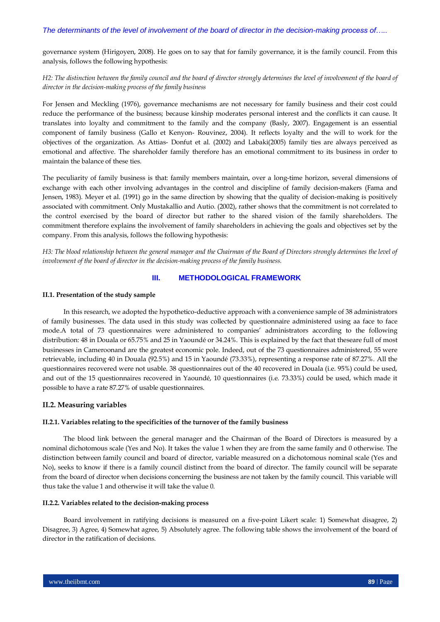governance system (Hirigoyen, 2008). He goes on to say that for family governance, it is the family council. From this analysis, follows the following hypothesis:

# H2: The distinction between the family council and the board of director strongly determines the level of involvement of the board of *director in the decision-making process of the family business*

For Jensen and Meckling (1976), governance mechanisms are not necessary for family business and their cost could reduce the performance of the business; because kinship moderates personal interest and the conflicts it can cause. It translates into loyalty and commitment to the family and the company (Basly, 2007). Engagement is an essential component of family business (Gallo et Kenyon- Rouvinez, 2004). It reflects loyalty and the will to work for the objectives of the organization. As Attias- Donfut et al. (2002) and Labaki(2005) family ties are always perceived as emotional and affective. The shareholder family therefore has an emotional commitment to its business in order to maintain the balance of these ties.

The peculiarity of family business is that: family members maintain, over a long-time horizon, several dimensions of exchange with each other involving advantages in the control and discipline of family decision-makers (Fama and Jensen, 1983). Meyer et al. (1991) go in the same direction by showing that the quality of decision-making is positively associated with commitment. Only Mustakallio and Autio. (2002), rather shows that the commitment is not correlated to the control exercised by the board of director but rather to the shared vision of the family shareholders. The commitment therefore explains the involvement of family shareholders in achieving the goals and objectives set by the company. From this analysis, follows the following hypothesis:

*H3: The blood relationship between the general manager and the Chairman of the Board of Directors strongly determines the level of involvement of the board of director in the decision-making process of the family business.*

# **III. METHODOLOGICAL FRAMEWORK**

#### **II.1. Presentation of the study sample**

In this research, we adopted the hypothetico-deductive approach with a convenience sample of 38 administrators of family businesses. The data used in this study was collected by questionnaire administered using aa face to face mode.A total of 73 questionnaires were administered to companies' administrators according to the following distribution: 48 in Douala or 65.75% and 25 in Yaoundé or 34.24%. This is explained by the fact that theseare full of most businesses in Cameroonand are the greatest economic pole. Indeed, out of the 73 questionnaires administered, 55 were retrievable, including 40 in Douala (92.5%) and 15 in Yaoundé (73.33%), representing a response rate of 87.27%. All the questionnaires recovered were not usable. 38 questionnaires out of the 40 recovered in Douala (i.e. 95%) could be used, and out of the 15 questionnaires recovered in Yaoundé, 10 questionnaires (i.e. 73.33%) could be used, which made it possible to have a rate 87.27% of usable questionnaires.

## **II.2. Measuring variables**

#### **II.2.1. Variables relating to the specificities of the turnover of the family business**

The blood link between the general manager and the Chairman of the Board of Directors is measured by a nominal dichotomous scale (Yes and No). It takes the value 1 when they are from the same family and 0 otherwise. The distinction between family council and board of director, variable measured on a dichotomous nominal scale (Yes and No), seeks to know if there is a family council distinct from the board of director. The family council will be separate from the board of director when decisions concerning the business are not taken by the family council. This variable will thus take the value 1 and otherwise it will take the value 0.

#### **II.2.2. Variables related to the decision-making process**

Board involvement in ratifying decisions is measured on a five-point Likert scale: 1) Somewhat disagree, 2) Disagree, 3) Agree, 4) Somewhat agree, 5) Absolutely agree. The following table shows the involvement of the board of director in the ratification of decisions.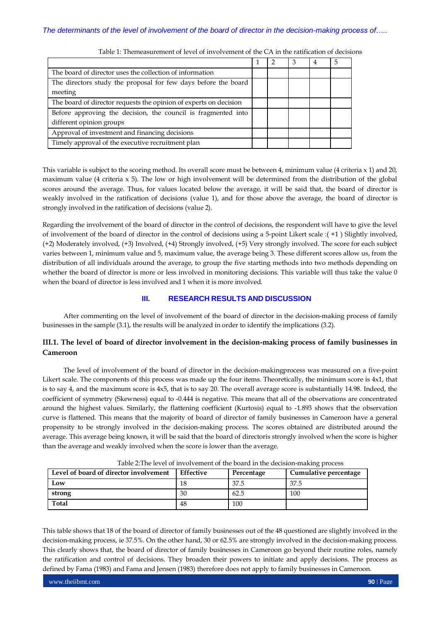|                                                                   |  | 3 |  |
|-------------------------------------------------------------------|--|---|--|
| The board of director uses the collection of information          |  |   |  |
| The directors study the proposal for few days before the board    |  |   |  |
| meeting                                                           |  |   |  |
| The board of director requests the opinion of experts on decision |  |   |  |
| Before approving the decision, the council is fragmented into     |  |   |  |
| different opinion groups                                          |  |   |  |
| Approval of investment and financing decisions                    |  |   |  |
| Timely approval of the executive recruitment plan                 |  |   |  |

Table 1: Themeasurement of level of involvement of the CA in the ratification of decisions

This variable is subject to the scoring method. Its overall score must be between 4, minimum value (4 criteria x 1) and 20, maximum value (4 criteria x 5). The low or high involvement will be determined from the distribution of the global scores around the average. Thus, for values located below the average, it will be said that, the board of director is weakly involved in the ratification of decisions (value 1), and for those above the average, the board of director is strongly involved in the ratification of decisions (value 2).

Regarding the involvement of the board of director in the control of decisions, the respondent will have to give the level of involvement of the board of director in the control of decisions using a 5-point Likert scale :( +1 ) Slightly involved, (+2) Moderately involved, (+3) Involved, (+4) Strongly involved, (+5) Very strongly involved. The score for each subject varies between 1, minimum value and 5, maximum value, the average being 3. These different scores allow us, from the distribution of all individuals around the average, to group the five starting methods into two methods depending on whether the board of director is more or less involved in monitoring decisions. This variable will thus take the value 0 when the board of director is less involved and 1 when it is more involved.

# **III. RESEARCH RESULTS AND DISCUSSION**

After commenting on the level of involvement of the board of director in the decision-making process of family businesses in the sample (3.1), the results will be analyzed in order to identify the implications (3.2).

# **III.1. The level of board of director involvement in the decision-making process of family businesses in Cameroon**

The level of involvement of the board of director in the decision-makingprocess was measured on a five-point Likert scale. The components of this process was made up the four items. Theoretically, the minimum score is 4x1, that is to say 4, and the maximum score is 4x5, that is to say 20. The overall average score is substantially 14.98. Indeed, the coefficient of symmetry (Skewness) equal to -0.444 is negative. This means that all of the observations are concentrated around the highest values. Similarly, the flattening coefficient (Kurtosis) equal to -1.893 shows that the observation curve is flattened. This means that the majority of board of director of family businesses in Cameroon have a general propensity to be strongly involved in the decision-making process. The scores obtained are distributed around the average. This average being known, it will be said that the board of directoris strongly involved when the score is higher than the average and weakly involved when the score is lower than the average.

| Level of board of director involvement | Effective | Percentage | Cumulative percentage |
|----------------------------------------|-----------|------------|-----------------------|
| Low                                    | 18        | 37.5       | 37.5                  |
| strong                                 | 30        | 62.5       | 100                   |
| <b>Total</b>                           | 48        | 100        |                       |

Table 2:The level of involvement of the board in the decision-making process

This table shows that 18 of the board of director of family businesses out of the 48 questioned are slightly involved in the decision-making process, ie 37.5%. On the other hand, 30 or 62.5% are strongly involved in the decision-making process. This clearly shows that, the board of director of family businesses in Cameroon go beyond their routine roles, namely the ratification and control of decisions. They broaden their powers to initiate and apply decisions. The process as defined by Fama (1983) and Fama and Jensen (1983) therefore does not apply to family businesses in Cameroon.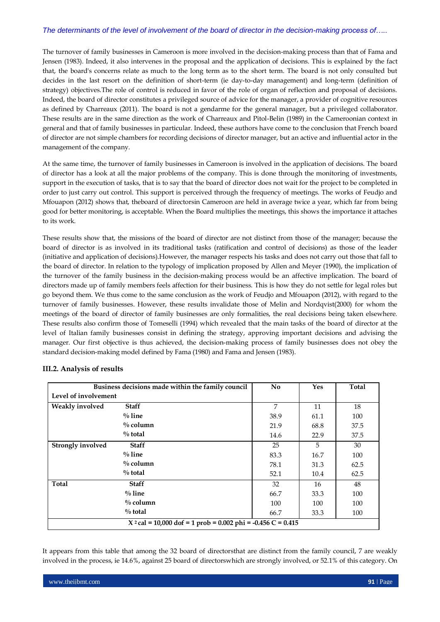The turnover of family businesses in Cameroon is more involved in the decision-making process than that of Fama and Jensen (1983). Indeed, it also intervenes in the proposal and the application of decisions. This is explained by the fact that, the board's concerns relate as much to the long term as to the short term. The board is not only consulted but decides in the last resort on the definition of short-term (ie day-to-day management) and long-term (definition of strategy) objectives.The role of control is reduced in favor of the role of organ of reflection and proposal of decisions. Indeed, the board of director constitutes a privileged source of advice for the manager, a provider of cognitive resources as defined by Charreaux (2011). The board is not a gendarme for the general manager, but a privileged collaborator. These results are in the same direction as the work of Charreaux and Pitol-Belin (1989) in the Cameroonian context in general and that of family businesses in particular. Indeed, these authors have come to the conclusion that French board of director are not simple chambers for recording decisions of director manager, but an active and influential actor in the management of the company.

At the same time, the turnover of family businesses in Cameroon is involved in the application of decisions. The board of director has a look at all the major problems of the company. This is done through the monitoring of investments, support in the execution of tasks, that is to say that the board of director does not wait for the project to be completed in order to just carry out control. This support is perceived through the frequency of meetings. The works of Feudjo and Mfouapon (2012) shows that, theboard of directorsin Cameroon are held in average twice a year, which far from being good for better monitoring, is acceptable. When the Board multiplies the meetings, this shows the importance it attaches to its work.

These results show that, the missions of the board of director are not distinct from those of the manager; because the board of director is as involved in its traditional tasks (ratification and control of decisions) as those of the leader (initiative and application of decisions).However, the manager respects his tasks and does not carry out those that fall to the board of director. In relation to the typology of implication proposed by Allen and Meyer (1990), the implication of the turnover of the family business in the decision-making process would be an affective implication. The board of directors made up of family members feels affection for their business. This is how they do not settle for legal roles but go beyond them. We thus come to the same conclusion as the work of Feudjo and Mfouapon (2012), with regard to the turnover of family businesses. However, these results invalidate those of Melin and Nordqvist(2000) for whom the meetings of the board of director of family businesses are only formalities, the real decisions being taken elsewhere. These results also confirm those of Tomeselli (1994) which revealed that the main tasks of the board of director at the level of Italian family businesses consist in defining the strategy, approving important decisions and advising the manager. Our first objective is thus achieved, the decision-making process of family businesses does not obey the standard decision-making model defined by Fama (1980) and Fama and Jensen (1983).

|                                                                | Business decisions made within the family council | No.  | <b>Yes</b> | Total |  |
|----------------------------------------------------------------|---------------------------------------------------|------|------------|-------|--|
| Level of involvement                                           |                                                   |      |            |       |  |
| <b>Weakly</b> involved                                         | <b>Staff</b>                                      | 7    | 11         | 18    |  |
|                                                                | $\%$ line                                         | 38.9 | 61.1       | 100   |  |
|                                                                | $\%$ column                                       | 21.9 | 68.8       | 37.5  |  |
|                                                                | $\%$ total                                        | 14.6 | 22.9       | 37.5  |  |
| <b>Strongly involved</b>                                       | <b>Staff</b>                                      | 25   | 5          | 30    |  |
|                                                                | $\%$ line                                         | 83.3 | 16.7       | 100   |  |
|                                                                | $\%$ column                                       | 78.1 | 31.3       | 62.5  |  |
|                                                                | $\%$ total                                        | 52.1 | 10.4       | 62.5  |  |
| Total                                                          | <b>Staff</b>                                      | 32   | 16         | 48    |  |
|                                                                | $\%$ line                                         | 66.7 | 33.3       | 100   |  |
|                                                                | $\%$ column                                       | 100  | 100        | 100   |  |
|                                                                | $\%$ total                                        | 66.7 | 33.3       | 100   |  |
| $X^2$ cal = 10,000 dof = 1 prob = 0.002 phi = -0.456 C = 0.415 |                                                   |      |            |       |  |

# **III.2. Analysis of results**

It appears from this table that among the 32 board of directorsthat are distinct from the family council, 7 are weakly involved in the process, ie 14.6%, against 25 board of directorswhich are strongly involved, or 52.1% of this category. On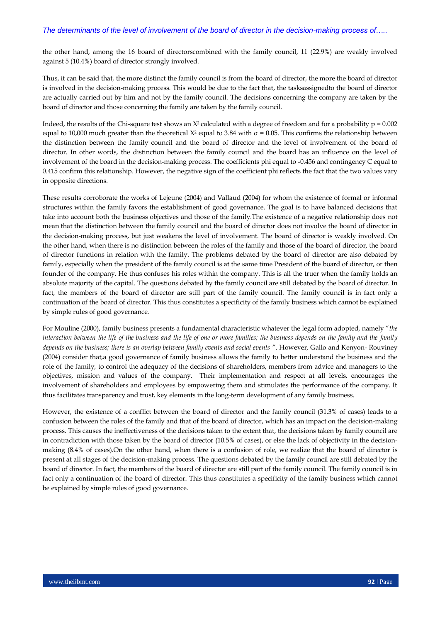the other hand, among the 16 board of directorscombined with the family council, 11 (22.9%) are weakly involved against 5 (10.4%) board of director strongly involved.

Thus, it can be said that, the more distinct the family council is from the board of director, the more the board of director is involved in the decision-making process. This would be due to the fact that, the tasksassignedto the board of director are actually carried out by him and not by the family council. The decisions concerning the company are taken by the board of director and those concerning the family are taken by the family council.

Indeed, the results of the Chi-square test shows an  $X^2$  calculated with a degree of freedom and for a probability  $p = 0.002$ equal to 10,000 much greater than the theoretical  $X^2$  equal to 3.84 with  $\alpha$  = 0.05. This confirms the relationship between the distinction between the family council and the board of director and the level of involvement of the board of director. In other words, the distinction between the family council and the board has an influence on the level of involvement of the board in the decision-making process. The coefficients phi equal to -0.456 and contingency C equal to 0.415 confirm this relationship. However, the negative sign of the coefficient phi reflects the fact that the two values vary in opposite directions.

These results corroborate the works of Lejeune (2004) and Vallaud (2004) for whom the existence of formal or informal structures within the family favors the establishment of good governance. The goal is to have balanced decisions that take into account both the business objectives and those of the family.The existence of a negative relationship does not mean that the distinction between the family council and the board of director does not involve the board of director in the decision-making process, but just weakens the level of involvement. The board of director is weakly involved. On the other hand, when there is no distinction between the roles of the family and those of the board of director, the board of director functions in relation with the family. The problems debated by the board of director are also debated by family, especially when the president of the family council is at the same time President of the board of director, or then founder of the company. He thus confuses his roles within the company. This is all the truer when the family holds an absolute majority of the capital. The questions debated by the family council are still debated by the board of director. In fact, the members of the board of director are still part of the family council. The family council is in fact only a continuation of the board of director. This thus constitutes a specificity of the family business which cannot be explained by simple rules of good governance.

For Mouline (2000), family business presents a fundamental characteristic whatever the legal form adopted, namely "*the interaction between the life of the business and the life of one or more families; the business depends on the family and the family depends on the business; there is an overlap between family events and social events* ". However, Gallo and Kenyon- Rouviney (2004) consider that,a good governance of family business allows the family to better understand the business and the role of the family, to control the adequacy of the decisions of shareholders, members from advice and managers to the objectives, mission and values of the company. Their implementation and respect at all levels, encourages the involvement of shareholders and employees by empowering them and stimulates the performance of the company. It thus facilitates transparency and trust, key elements in the long-term development of any family business.

However, the existence of a conflict between the board of director and the family council (31.3% of cases) leads to a confusion between the roles of the family and that of the board of director, which has an impact on the decision-making process. This causes the ineffectiveness of the decisions taken to the extent that, the decisions taken by family council are in contradiction with those taken by the board of director (10.5% of cases), or else the lack of objectivity in the decisionmaking (8.4% of cases).On the other hand, when there is a confusion of role, we realize that the board of director is present at all stages of the decision-making process. The questions debated by the family council are still debated by the board of director. In fact, the members of the board of director are still part of the family council. The family council is in fact only a continuation of the board of director. This thus constitutes a specificity of the family business which cannot be explained by simple rules of good governance.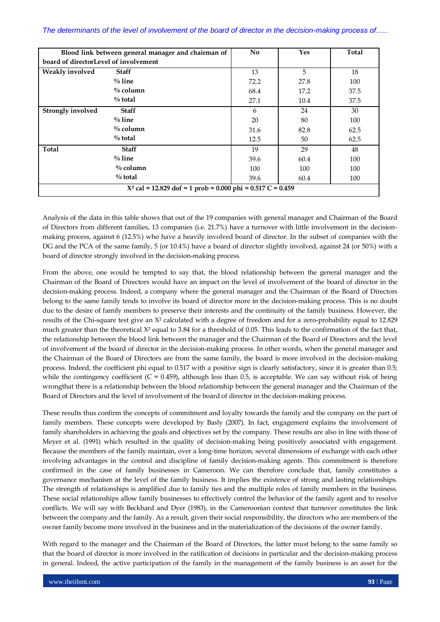| Blood link between general manager and chairman of            |              | <b>No</b> | <b>Yes</b> | <b>Total</b> |
|---------------------------------------------------------------|--------------|-----------|------------|--------------|
| board of directorLevel of involvement                         |              |           |            |              |
| Weakly involved                                               | <b>Staff</b> | 13        | 5          | 18           |
|                                                               | $\%$ line    | 72.2      | 27.8       | 100          |
|                                                               | $\%$ column  | 68.4      | 17.2       | 37.5         |
|                                                               | $\%$ total   | 27.1      | 10.4       | 37.5         |
| <b>Strongly involved</b>                                      | <b>Staff</b> | 6         | 24         | 30           |
|                                                               | $\%$ line    | 20        | 80         | 100          |
|                                                               | $\%$ column  | 31.6      | 82.8       | 62.5         |
|                                                               | $\%$ total   | 12.5      | 50         | 62.5         |
| Total                                                         | <b>Staff</b> | 19        | 29         | 48           |
|                                                               | $\%$ line    | 39.6      | 60.4       | 100          |
|                                                               | $\%$ column  | 100       | 100        | 100          |
|                                                               | $\%$ total   | 39.6      | 60.4       | 100          |
| $X^2$ cal = 12.829 dof = 1 prob = 0.000 phi = 0.517 C = 0.459 |              |           |            |              |

Analysis of the data in this table shows that out of the 19 companies with general manager and Chairman of the Board of Directors from different families, 13 companies (i.e. 21.7%) have a turnover with little involvement in the decisionmaking process, against 6 (12.5%) who have a heavily involved board of director. In the subset of companies with the DG and the PCA of the same family, 5 (or 10.4%) have a board of director slightly involved, against 24 (or 50%) with a board of director strongly involved in the decision-making process.

From the above, one would be tempted to say that, the blood relationship between the general manager and the Chairman of the Board of Directors would have an impact on the level of involvement of the board of director in the decision-making process. Indeed, a company where the general manager and the Chairman of the Board of Directors belong to the same family tends to involve its board of director more in the decision-making process. This is no doubt due to the desire of family members to preserve their interests and the continuity of the family business. However, the results of the Chi-square test give an X² calculated with a degree of freedom and for a zero-probability equal to 12.829 much greater than the theoretical  $X^2$  equal to 3.84 for a threshold of 0.05. This leads to the confirmation of the fact that, the relationship between the blood link between the manager and the Chairman of the Board of Directors and the level of involvement of the board of director in the decision-making process. In other words, when the general manager and the Chairman of the Board of Directors are from the same family, the board is more involved in the decision-making process. Indeed, the coefficient phi equal to 0.517 with a positive sign is clearly satisfactory, since it is greater than 0.5; while the contingency coefficient  $(C = 0.459)$ , although less than 0.5, is acceptable. We can say without risk of being wrongthat there is a relationship between the blood relationship between the general manager and the Chairman of the Board of Directors and the level of involvement of the board of director in the decision-making process.

These results thus confirm the concepts of commitment and loyalty towards the family and the company on the part of family members. These concepts were developed by Basly (2007). In fact, engagement explains the involvement of family shareholders in achieving the goals and objectives set by the company. These results are also in line with those of Meyer et al. (1991) which resulted in the quality of decision-making being positively associated with engagement. Because the members of the family maintain, over a long-time horizon, several dimensions of exchange with each other involving advantages in the control and discipline of family decision-making agents. This commitment is therefore confirmed in the case of family businesses in Cameroon. We can therefore conclude that, family constitutes a governance mechanism at the level of the family business. It implies the existence of strong and lasting relationships. The strength of relationships is amplified due to family ties and the multiple roles of family members in the business. These social relationships allow family businesses to effectively control the behavior of the family agent and to resolve conflicts. We will say with Beckhard and Dyer (1983), in the Cameroonian context that turnover constitutes the link between the company and the family. As a result, given their social responsibility, the directors who are members of the owner family become more involved in the business and in the materialization of the decisions of the owner family.

With regard to the manager and the Chairman of the Board of Directors, the latter must belong to the same family so that the board of director is more involved in the ratification of decisions in particular and the decision-making process in general. Indeed, the active participation of the family in the management of the family business is an asset for the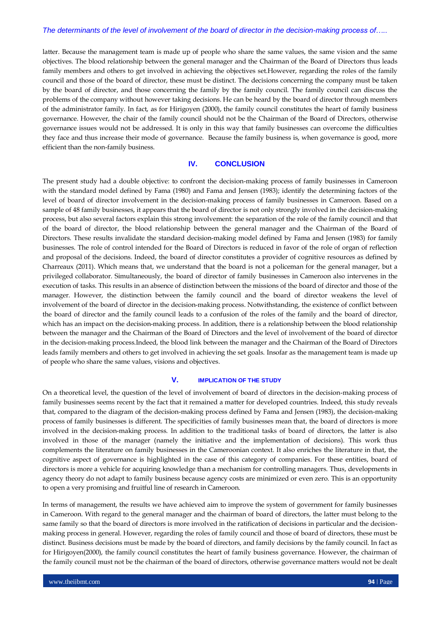latter. Because the management team is made up of people who share the same values, the same vision and the same objectives. The blood relationship between the general manager and the Chairman of the Board of Directors thus leads family members and others to get involved in achieving the objectives set.However, regarding the roles of the family council and those of the board of director, these must be distinct. The decisions concerning the company must be taken by the board of director, and those concerning the family by the family council. The family council can discuss the problems of the company without however taking decisions. He can be heard by the board of director through members of the administrator family. In fact, as for Hirigoyen (2000), the family council constitutes the heart of family business governance. However, the chair of the family council should not be the Chairman of the Board of Directors, otherwise governance issues would not be addressed. It is only in this way that family businesses can overcome the difficulties they face and thus increase their mode of governance. Because the family business is, when governance is good, more efficient than the non-family business.

#### **IV. CONCLUSION**

The present study had a double objective: to confront the decision-making process of family businesses in Cameroon with the standard model defined by Fama (1980) and Fama and Jensen (1983); identify the determining factors of the level of board of director involvement in the decision-making process of family businesses in Cameroon. Based on a sample of 48 family businesses, it appears that the board of director is not only strongly involved in the decision-making process, but also several factors explain this strong involvement: the separation of the role of the family council and that of the board of director, the blood relationship between the general manager and the Chairman of the Board of Directors. These results invalidate the standard decision-making model defined by Fama and Jensen (1983) for family businesses. The role of control intended for the Board of Directors is reduced in favor of the role of organ of reflection and proposal of the decisions. Indeed, the board of director constitutes a provider of cognitive resources as defined by Charreaux (2011). Which means that, we understand that the board is not a policeman for the general manager, but a privileged collaborator. Simultaneously, the board of director of family businesses in Cameroon also intervenes in the execution of tasks. This results in an absence of distinction between the missions of the board of director and those of the manager. However, the distinction between the family council and the board of director weakens the level of involvement of the board of director in the decision-making process. Notwithstanding, the existence of conflict between the board of director and the family council leads to a confusion of the roles of the family and the board of director, which has an impact on the decision-making process. In addition, there is a relationship between the blood relationship between the manager and the Chairman of the Board of Directors and the level of involvement of the board of director in the decision-making process.Indeed, the blood link between the manager and the Chairman of the Board of Directors leads family members and others to get involved in achieving the set goals. Insofar as the management team is made up of people who share the same values, visions and objectives.

#### **V. IMPLICATION OF THE STUDY**

On a theoretical level, the question of the level of involvement of board of directors in the decision-making process of family businesses seems recent by the fact that it remained a matter for developed countries. Indeed, this study reveals that, compared to the diagram of the decision-making process defined by Fama and Jensen (1983), the decision-making process of family businesses is different. The specificities of family businesses mean that, the board of directors is more involved in the decision-making process. In addition to the traditional tasks of board of directors, the latter is also involved in those of the manager (namely the initiative and the implementation of decisions). This work thus complements the literature on family businesses in the Cameroonian context. It also enriches the literature in that, the cognitive aspect of governance is highlighted in the case of this category of companies. For these entities, board of directors is more a vehicle for acquiring knowledge than a mechanism for controlling managers. Thus, developments in agency theory do not adapt to family business because agency costs are minimized or even zero. This is an opportunity to open a very promising and fruitful line of research in Cameroon.

In terms of management, the results we have achieved aim to improve the system of government for family businesses in Cameroon. With regard to the general manager and the chairman of board of directors, the latter must belong to the same family so that the board of directors is more involved in the ratification of decisions in particular and the decisionmaking process in general. However, regarding the roles of family council and those of board of directors, these must be distinct. Business decisions must be made by the board of directors, and family decisions by the family council. In fact as for Hirigoyen(2000), the family council constitutes the heart of family business governance. However, the chairman of the family council must not be the chairman of the board of directors, otherwise governance matters would not be dealt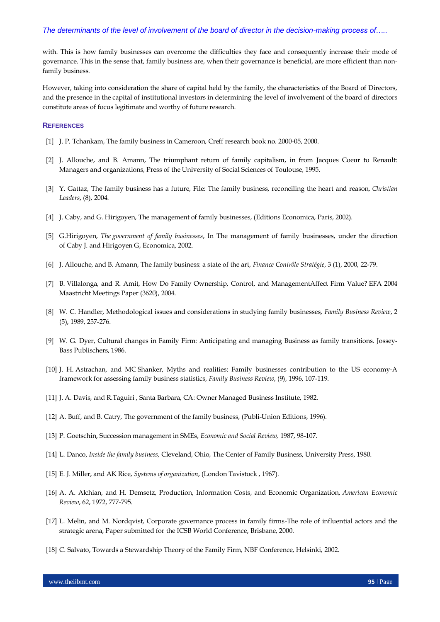with. This is how family businesses can overcome the difficulties they face and consequently increase their mode of governance. This in the sense that, family business are, when their governance is beneficial, are more efficient than nonfamily business.

However, taking into consideration the share of capital held by the family, the characteristics of the Board of Directors, and the presence in the capital of institutional investors in determining the level of involvement of the board of directors constitute areas of focus legitimate and worthy of future research.

# **REFERENCES**

- [1] J. P. Tchankam, The family business in Cameroon, Creff research book no. 2000-05, 2000.
- [2] J. Allouche, and B. Amann, The triumphant return of family capitalism, in from Jacques Coeur to Renault: Managers and organizations, Press of the University of Social Sciences of Toulouse, 1995.
- [3] Y. Gattaz, The family business has a future, File: The family business, reconciling the heart and reason, *Christian Leaders*, (8), 2004.
- [4] J. Caby, and G. Hirigoyen, The management of family businesses, (Editions Economica, Paris, 2002).
- [5] G.Hirigoyen, *The government of family businesses*, In The management of family businesses, under the direction of Caby J. and Hirigoyen G, Economica, 2002.
- [6] J. Allouche, and B. Amann, The family business: a state of the art, *Finance Contrôle Stratégie*, 3 (1), 2000, 22-79.
- [7] B. Villalonga, and R. Amit, How Do Family Ownership, Control, and ManagementAffect Firm Value? EFA 2004 Maastricht Meetings Paper (3620), 2004.
- [8] W. C. Handler, Methodological issues and considerations in studying family businesses, *Family Business Review*, 2 (5), 1989, 257-276.
- [9] W. G. Dyer, Cultural changes in Family Firm: Anticipating and managing Business as family transitions. Jossey-Bass Publischers, 1986.
- [10] J. H. Astrachan, and MC Shanker, Myths and realities: Family businesses contribution to the US economy-A framework for assessing family business statistics, *Family Business Review*, (9), 1996, 107-119.
- [11] J. A. Davis, and R.Taguiri , Santa Barbara, CA: Owner Managed Business Institute, 1982.
- [12] A. Buff, and B. Catry, The government of the family business, (Publi-Union Editions, 1996).
- [13] P. Goetschin, Succession management in SMEs, *Economic and Social Review,* 1987, 98-107.
- [14] L. Danco, *Inside the family business,* Cleveland, Ohio, The Center of Family Business, University Press, 1980.
- [15] E. J. Miller, and AK Rice, *Systems of organization*, (London Tavistock , 1967).
- [16] A. A. Alchian, and H. Demsetz, Production, Information Costs, and Economic Organization, *American Economic Review*, 62, 1972, 777-795.
- [17] L. Melin, and M. Nordqvist, Corporate governance process in family firms-The role of influential actors and the strategic arena, Paper submitted for the ICSB World Conference, Brisbane, 2000.
- [18] C. Salvato, Towards a Stewardship Theory of the Family Firm, NBF Conference, Helsinki, 2002.